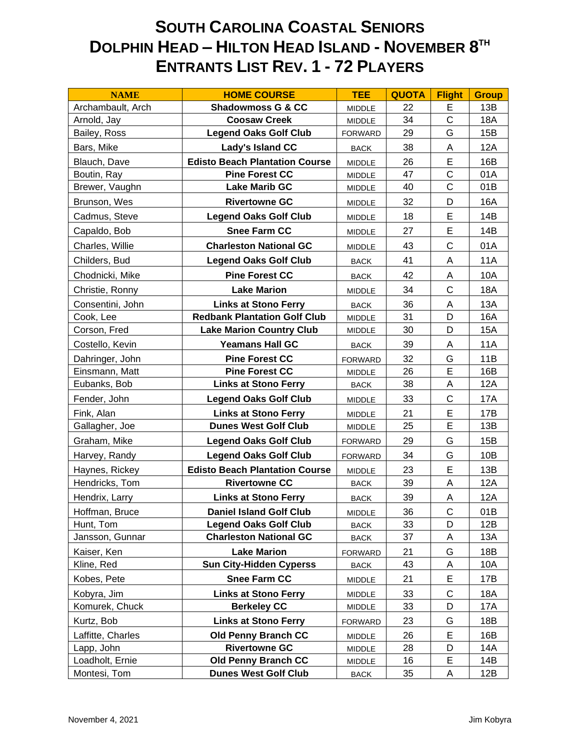## **SOUTH CAROLINA COASTAL SENIORS DOLPHIN HEAD – HILTON HEAD ISLAND - NOVEMBER 8 TH ENTRANTS LIST REV. 1 - 72 PLAYERS**

| <b>NAME</b>       | <b>HOME COURSE</b>                    | <b>TEE</b>     | <b>QUOTA</b> | <b>Flight</b> | <b>Group</b> |
|-------------------|---------------------------------------|----------------|--------------|---------------|--------------|
| Archambault, Arch | <b>Shadowmoss G &amp; CC</b>          | MIDDLE         | 22           | E             | 13B          |
| Arnold, Jay       | <b>Coosaw Creek</b>                   | MIDDLE         | 34           | $\mathsf C$   | <b>18A</b>   |
| Bailey, Ross      | <b>Legend Oaks Golf Club</b>          | <b>FORWARD</b> | 29           | G             | 15B          |
| Bars, Mike        | Lady's Island CC                      | <b>BACK</b>    | 38           | A             | 12A          |
| Blauch, Dave      | <b>Edisto Beach Plantation Course</b> | <b>MIDDLE</b>  | 26           | E             | 16B          |
| Boutin, Ray       | <b>Pine Forest CC</b>                 | MIDDLE         | 47           | $\mathsf C$   | 01A          |
| Brewer, Vaughn    | <b>Lake Marib GC</b>                  | MIDDLE         | 40           | $\mathsf{C}$  | 01B          |
| Brunson, Wes      | <b>Rivertowne GC</b>                  | MIDDLE         | 32           | D             | 16A          |
| Cadmus, Steve     | <b>Legend Oaks Golf Club</b>          | MIDDLE         | 18           | E             | 14B          |
| Capaldo, Bob      | <b>Snee Farm CC</b>                   | MIDDLE         | 27           | E             | 14B          |
| Charles, Willie   | <b>Charleston National GC</b>         | <b>MIDDLE</b>  | 43           | $\mathsf{C}$  | 01A          |
| Childers, Bud     | <b>Legend Oaks Golf Club</b>          | <b>BACK</b>    | 41           | A             | <b>11A</b>   |
| Chodnicki, Mike   | <b>Pine Forest CC</b>                 | <b>BACK</b>    | 42           | A             | 10A          |
| Christie, Ronny   | <b>Lake Marion</b>                    | MIDDLE         | 34           | $\mathsf{C}$  | <b>18A</b>   |
| Consentini, John  | <b>Links at Stono Ferry</b>           | <b>BACK</b>    | 36           | A             | 13A          |
| Cook, Lee         | <b>Redbank Plantation Golf Club</b>   | <b>MIDDLE</b>  | 31           | D             | <b>16A</b>   |
| Corson, Fred      | <b>Lake Marion Country Club</b>       | <b>MIDDLE</b>  | 30           | D             | 15A          |
| Costello, Kevin   | <b>Yeamans Hall GC</b>                | <b>BACK</b>    | 39           | Α             | <b>11A</b>   |
| Dahringer, John   | <b>Pine Forest CC</b>                 | <b>FORWARD</b> | 32           | G             | 11B          |
| Einsmann, Matt    | <b>Pine Forest CC</b>                 | MIDDLE         | 26           | E             | 16B          |
| Eubanks, Bob      | <b>Links at Stono Ferry</b>           | <b>BACK</b>    | 38           | Α             | 12A          |
| Fender, John      | <b>Legend Oaks Golf Club</b>          | MIDDLE         | 33           | $\mathsf{C}$  | 17A          |
| Fink, Alan        | <b>Links at Stono Ferry</b>           | <b>MIDDLE</b>  | 21           | E             | 17B          |
| Gallagher, Joe    | <b>Dunes West Golf Club</b>           | MIDDLE         | 25           | E             | 13B          |
| Graham, Mike      | <b>Legend Oaks Golf Club</b>          | <b>FORWARD</b> | 29           | G             | 15B          |
| Harvey, Randy     | <b>Legend Oaks Golf Club</b>          | <b>FORWARD</b> | 34           | G             | 10B          |
| Haynes, Rickey    | <b>Edisto Beach Plantation Course</b> | MIDDLE         | 23           | E             | 13B          |
| Hendricks, Tom    | <b>Rivertowne CC</b>                  | <b>BACK</b>    | 39           | A             | 12A          |
| Hendrix, Larry    | <b>Links at Stono Ferry</b>           | <b>BACK</b>    | 39           | Α             | 12A          |
| Hoffman, Bruce    | <b>Daniel Island Golf Club</b>        | MIDDLE         | 36           | $\mathsf C$   | 01B          |
| Hunt, Tom         | <b>Legend Oaks Golf Club</b>          | <b>BACK</b>    | 33           | D             | 12B          |
| Jansson, Gunnar   | <b>Charleston National GC</b>         | <b>BACK</b>    | 37           | A             | 13A          |
| Kaiser, Ken       | <b>Lake Marion</b>                    | <b>FORWARD</b> | 21           | G             | 18B          |
| Kline, Red        | <b>Sun City-Hidden Cyperss</b>        | <b>BACK</b>    | 43           | Α             | 10A          |
| Kobes, Pete       | <b>Snee Farm CC</b>                   | <b>MIDDLE</b>  | 21           | E             | 17B          |
| Kobyra, Jim       | <b>Links at Stono Ferry</b>           | <b>MIDDLE</b>  | 33           | C             | 18A          |
| Komurek, Chuck    | <b>Berkeley CC</b>                    | MIDDLE         | 33           | D             | 17A          |
| Kurtz, Bob        | <b>Links at Stono Ferry</b>           | <b>FORWARD</b> | 23           | G             | 18B          |
| Laffitte, Charles | <b>Old Penny Branch CC</b>            | MIDDLE         | 26           | E             | 16B          |
| Lapp, John        | <b>Rivertowne GC</b>                  | MIDDLE         | 28           | D             | 14A          |
| Loadholt, Ernie   | <b>Old Penny Branch CC</b>            | <b>MIDDLE</b>  | 16           | E             | 14B          |
| Montesi, Tom      | <b>Dunes West Golf Club</b>           | <b>BACK</b>    | 35           | Α             | 12B          |